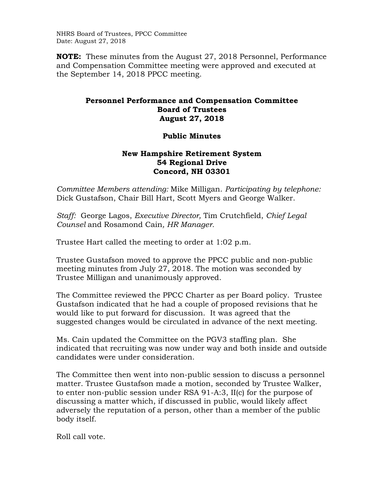NHRS Board of Trustees, PPCC Committee Date: August 27, 2018

**NOTE:** These minutes from the August 27, 2018 Personnel, Performance and Compensation Committee meeting were approved and executed at the September 14, 2018 PPCC meeting.

## **Personnel Performance and Compensation Committee Board of Trustees August 27, 2018**

## **Public Minutes**

## **New Hampshire Retirement System 54 Regional Drive Concord, NH 03301**

*Committee Members attending:* Mike Milligan. *Participating by telephone:* Dick Gustafson, Chair Bill Hart, Scott Myers and George Walker.

*Staff:* George Lagos, *Executive Director,* Tim Crutchfield, *Chief Legal Counsel* and Rosamond Cain*, HR Manager.* 

Trustee Hart called the meeting to order at 1:02 p.m.

Trustee Gustafson moved to approve the PPCC public and non-public meeting minutes from July 27, 2018. The motion was seconded by Trustee Milligan and unanimously approved.

The Committee reviewed the PPCC Charter as per Board policy. Trustee Gustafson indicated that he had a couple of proposed revisions that he would like to put forward for discussion. It was agreed that the suggested changes would be circulated in advance of the next meeting.

Ms. Cain updated the Committee on the PGV3 staffing plan. She indicated that recruiting was now under way and both inside and outside candidates were under consideration.

The Committee then went into non-public session to discuss a personnel matter. Trustee Gustafson made a motion, seconded by Trustee Walker, to enter non-public session under RSA 91-A:3, II(c) for the purpose of discussing a matter which, if discussed in public, would likely affect adversely the reputation of a person, other than a member of the public body itself.

Roll call vote.